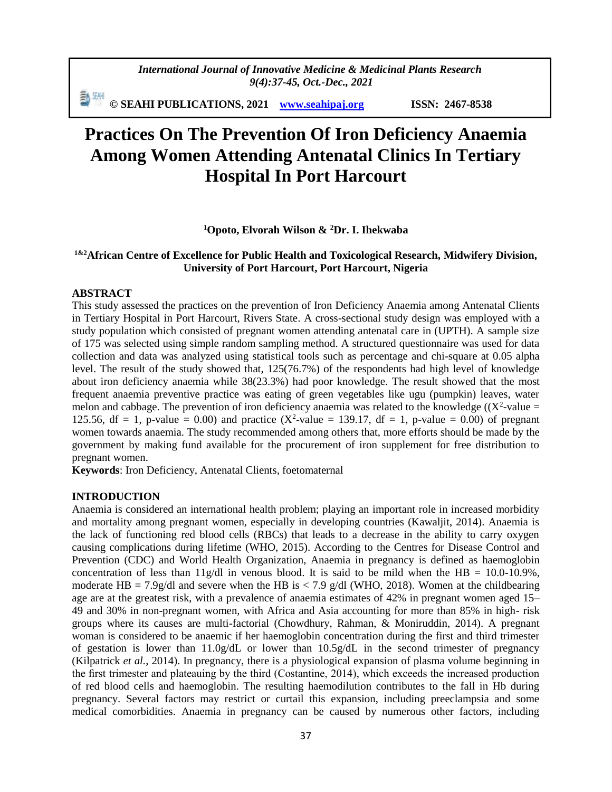*International Journal of Innovative Medicine & Medicinal Plants Research 9(4):37-45, Oct.-Dec., 2021*

勤細 **© SEAHI PUBLICATIONS, 2021 [www.seahipaj.org](http://www.seahipaj.org/) ISSN: 2467-8538**

# **Practices On The Prevention Of Iron Deficiency Anaemia Among Women Attending Antenatal Clinics In Tertiary Hospital In Port Harcourt**

**<sup>1</sup>Opoto, Elvorah Wilson & <sup>2</sup>Dr. I. Ihekwaba**

## **1&2African Centre of Excellence for Public Health and Toxicological Research, Midwifery Division, University of Port Harcourt, Port Harcourt, Nigeria**

#### **ABSTRACT**

This study assessed the practices on the prevention of Iron Deficiency Anaemia among Antenatal Clients in Tertiary Hospital in Port Harcourt, Rivers State. A cross-sectional study design was employed with a study population which consisted of pregnant women attending antenatal care in (UPTH). A sample size of 175 was selected using simple random sampling method. A structured questionnaire was used for data collection and data was analyzed using statistical tools such as percentage and chi-square at 0.05 alpha level. The result of the study showed that, 125(76.7%) of the respondents had high level of knowledge about iron deficiency anaemia while 38(23.3%) had poor knowledge. The result showed that the most frequent anaemia preventive practice was eating of green vegetables like ugu (pumpkin) leaves, water melon and cabbage. The prevention of iron deficiency anaemia was related to the knowledge  $((X^2$ -value = 125.56, df = 1, p-value = 0.00) and practice ( $X^2$ -value = 139.17, df = 1, p-value = 0.00) of pregnant women towards anaemia. The study recommended among others that, more efforts should be made by the government by making fund available for the procurement of iron supplement for free distribution to pregnant women.

**Keywords**: Iron Deficiency, Antenatal Clients, foetomaternal

#### **INTRODUCTION**

Anaemia is considered an international health problem; playing an important role in increased morbidity and mortality among pregnant women, especially in developing countries (Kawaljit, 2014). Anaemia is the lack of functioning red blood cells (RBCs) that leads to a decrease in the ability to carry oxygen causing complications during lifetime (WHO, 2015). According to the Centres for Disease Control and Prevention (CDC) and World Health Organization, Anaemia in pregnancy is defined as haemoglobin concentration of less than  $11g/dl$  in venous blood. It is said to be mild when the HB = 10.0-10.9%, moderate HB = 7.9g/dl and severe when the HB is < 7.9 g/dl (WHO, 2018). Women at the childbearing age are at the greatest risk, with a prevalence of anaemia estimates of 42% in pregnant women aged 15– 49 and 30% in non-pregnant women, with Africa and Asia accounting for more than 85% in high- risk groups where its causes are multi-factorial (Chowdhury, Rahman, & Moniruddin, 2014). A pregnant woman is considered to be anaemic if her haemoglobin concentration during the first and third trimester of gestation is lower than  $11.0g/dL$  or lower than  $10.5g/dL$  in the second trimester of pregnancy (Kilpatrick *et al.*, 2014). In pregnancy, there is a physiological expansion of plasma volume beginning in the first trimester and plateauing by the third (Costantine, 2014), which exceeds the increased production of red blood cells and haemoglobin. The resulting haemodilution contributes to the fall in Hb during pregnancy. Several factors may restrict or curtail this expansion, including preeclampsia and some medical comorbidities. Anaemia in pregnancy can be caused by numerous other factors, including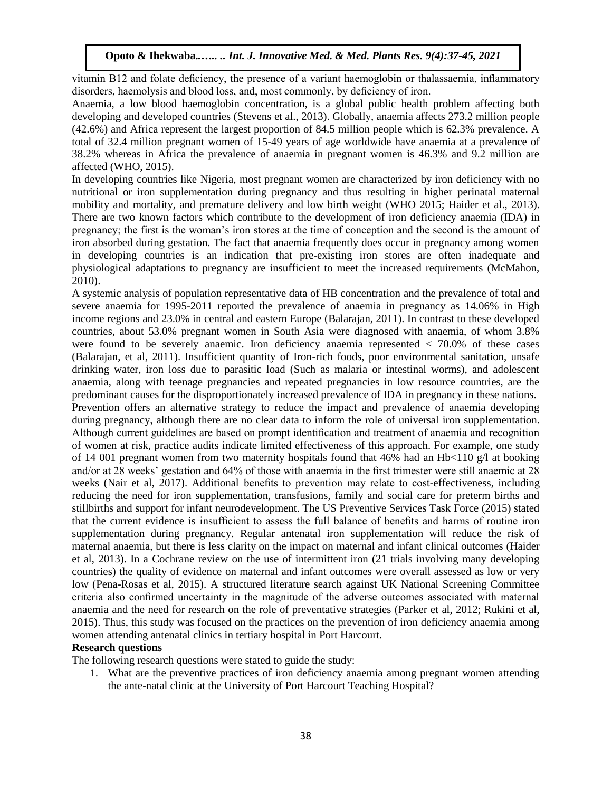vitamin B12 and folate deficiency, the presence of a variant haemoglobin or thalassaemia, inflammatory disorders, haemolysis and blood loss, and, most commonly, by deficiency of iron.

Anaemia, a low blood haemoglobin concentration, is a global public health problem affecting both developing and developed countries (Stevens et al., 2013). Globally, anaemia affects 273.2 million people (42.6%) and Africa represent the largest proportion of 84.5 million people which is 62.3% prevalence. A total of 32.4 million pregnant women of 15-49 years of age worldwide have anaemia at a prevalence of 38.2% whereas in Africa the prevalence of anaemia in pregnant women is 46.3% and 9.2 million are affected (WHO, 2015).

In developing countries like Nigeria, most pregnant women are characterized by iron deficiency with no nutritional or iron supplementation during pregnancy and thus resulting in higher perinatal maternal mobility and mortality, and premature delivery and low birth weight (WHO 2015; Haider et al., 2013). There are two known factors which contribute to the development of iron deficiency anaemia (IDA) in pregnancy; the first is the woman's iron stores at the time of conception and the second is the amount of iron absorbed during gestation. The fact that anaemia frequently does occur in pregnancy among women in developing countries is an indication that pre-existing iron stores are often inadequate and physiological adaptations to pregnancy are insufficient to meet the increased requirements (McMahon, 2010).

A systemic analysis of population representative data of HB concentration and the prevalence of total and severe anaemia for 1995-2011 reported the prevalence of anaemia in pregnancy as 14.06% in High income regions and 23.0% in central and eastern Europe (Balarajan, 2011). In contrast to these developed countries, about 53.0% pregnant women in South Asia were diagnosed with anaemia, of whom 3.8% were found to be severely anaemic. Iron deficiency anaemia represented < 70.0% of these cases (Balarajan, et al, 2011). Insufficient quantity of Iron-rich foods, poor environmental sanitation, unsafe drinking water, iron loss due to parasitic load (Such as malaria or intestinal worms), and adolescent anaemia, along with teenage pregnancies and repeated pregnancies in low resource countries, are the predominant causes for the disproportionately increased prevalence of IDA in pregnancy in these nations. Prevention offers an alternative strategy to reduce the impact and prevalence of anaemia developing during pregnancy, although there are no clear data to inform the role of universal iron supplementation. Although current guidelines are based on prompt identification and treatment of anaemia and recognition of women at risk, practice audits indicate limited effectiveness of this approach. For example, one study of 14 001 pregnant women from two maternity hospitals found that 46% had an Hb $\lt 110$  g/l at booking and/or at 28 weeks' gestation and 64% of those with anaemia in the first trimester were still anaemic at 28 weeks (Nair et al, 2017). Additional benefits to prevention may relate to cost-effectiveness, including reducing the need for iron supplementation, transfusions, family and social care for preterm births and stillbirths and support for infant neurodevelopment. The US Preventive Services Task Force (2015) stated that the current evidence is insufficient to assess the full balance of benefits and harms of routine iron supplementation during pregnancy. Regular antenatal iron supplementation will reduce the risk of maternal anaemia, but there is less clarity on the impact on maternal and infant clinical outcomes (Haider et al, 2013). In a Cochrane review on the use of intermittent iron (21 trials involving many developing countries) the quality of evidence on maternal and infant outcomes were overall assessed as low or very low (Pena-Rosas et al, 2015). A structured literature search against UK National Screening Committee criteria also confirmed uncertainty in the magnitude of the adverse outcomes associated with maternal anaemia and the need for research on the role of preventative strategies (Parker et al, 2012; Rukini et al, 2015). Thus, this study was focused on the practices on the prevention of iron deficiency anaemia among women attending antenatal clinics in tertiary hospital in Port Harcourt.

#### **Research questions**

The following research questions were stated to guide the study:

1. What are the preventive practices of iron deficiency anaemia among pregnant women attending the ante-natal clinic at the University of Port Harcourt Teaching Hospital?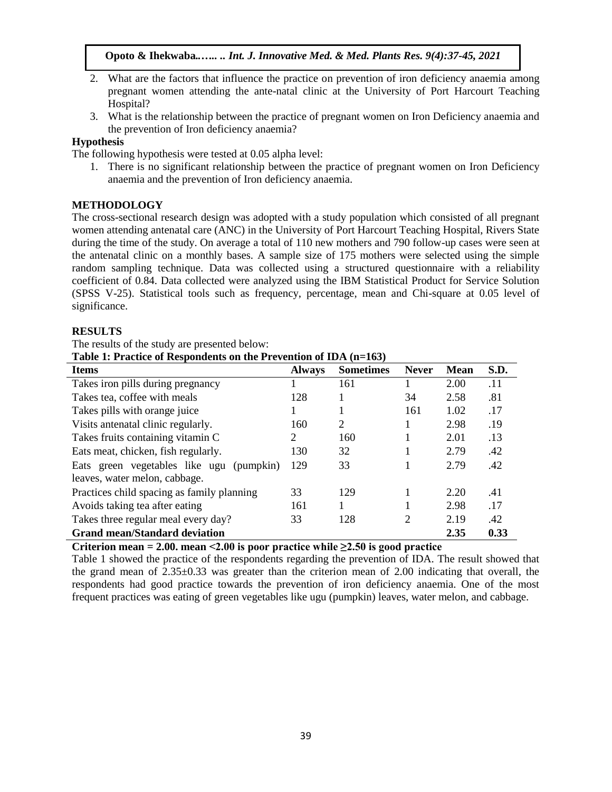- 2. What are the factors that influence the practice on prevention of iron deficiency anaemia among pregnant women attending the ante-natal clinic at the University of Port Harcourt Teaching Hospital?
- 3. What is the relationship between the practice of pregnant women on Iron Deficiency anaemia and the prevention of Iron deficiency anaemia?

# **Hypothesis**

The following hypothesis were tested at 0.05 alpha level:

1. There is no significant relationship between the practice of pregnant women on Iron Deficiency anaemia and the prevention of Iron deficiency anaemia.

# **METHODOLOGY**

The cross-sectional research design was adopted with a study population which consisted of all pregnant women attending antenatal care (ANC) in the University of Port Harcourt Teaching Hospital, Rivers State during the time of the study. On average a total of 110 new mothers and 790 follow-up cases were seen at the antenatal clinic on a monthly bases. A sample size of 175 mothers were selected using the simple random sampling technique. Data was collected using a structured questionnaire with a reliability coefficient of 0.84. Data collected were analyzed using the IBM Statistical Product for Service Solution (SPSS V-25). Statistical tools such as frequency, percentage, mean and Chi-square at 0.05 level of significance.

## **RESULTS**

The results of the study are presented below:

**Table 1: Practice of Respondents on the Prevention of IDA (n=163)**

| <b>Items</b>                                                              | <b>Always</b> | <b>Sometimes</b> | <b>Never</b> | <b>Mean</b> | S.D. |
|---------------------------------------------------------------------------|---------------|------------------|--------------|-------------|------|
| Takes iron pills during pregnancy                                         |               | 161              |              | 2.00        | .11  |
| Takes tea, coffee with meals                                              | 128           |                  | 34           | 2.58        | .81  |
| Takes pills with orange juice                                             |               |                  | 161          | 1.02        | .17  |
| Visits antenatal clinic regularly.                                        | 160           | 2                |              | 2.98        | .19  |
| Takes fruits containing vitamin C                                         | 2             | 160              |              | 2.01        | .13  |
| Eats meat, chicken, fish regularly.                                       | 130           | 32               |              | 2.79        | .42  |
| Eats green vegetables like ugu (pumpkin)<br>leaves, water melon, cabbage. | 129           | 33               |              | 2.79        | .42  |
| Practices child spacing as family planning                                | 33            | 129              |              | 2.20        | .41  |
| Avoids taking tea after eating                                            | 161           |                  |              | 2.98        | .17  |
| Takes three regular meal every day?                                       | 33            | 128              | 2            | 2.19        | .42  |
| <b>Grand mean/Standard deviation</b>                                      |               |                  |              | 2.35        | 0.33 |

Criterion mean  $= 2.00$ , mean  $\leq 2.00$  is poor practice while  $\geq 2.50$  is good practice

Table 1 showed the practice of the respondents regarding the prevention of IDA. The result showed that the grand mean of 2.35±0.33 was greater than the criterion mean of 2.00 indicating that overall, the respondents had good practice towards the prevention of iron deficiency anaemia. One of the most frequent practices was eating of green vegetables like ugu (pumpkin) leaves, water melon, and cabbage.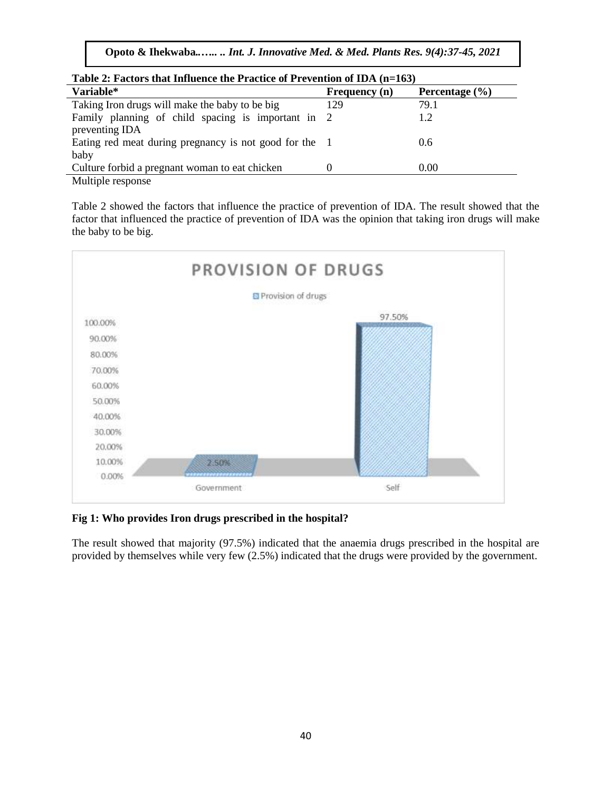**Opoto & Ihekwaba***..….. .. Int. J. Innovative Med. & Med. Plants Res. 9(4):37-45, 2021*

| Table 2: Factors that Influence the Practice of Prevention of IDA (n=163) |               |                            |  |  |  |  |  |
|---------------------------------------------------------------------------|---------------|----------------------------|--|--|--|--|--|
| Variable*                                                                 | Frequency (n) | Percentage $(\frac{9}{6})$ |  |  |  |  |  |
| Taking Iron drugs will make the baby to be big                            | 129           | 79.1                       |  |  |  |  |  |
| Family planning of child spacing is important in 2                        |               | 1.2                        |  |  |  |  |  |
| preventing IDA<br>Eating red meat during pregnancy is not good for the 1  |               | 0.6                        |  |  |  |  |  |
| baby                                                                      |               |                            |  |  |  |  |  |
| Culture forbid a pregnant woman to eat chicken                            |               | 0.00                       |  |  |  |  |  |
| Multiple response                                                         |               |                            |  |  |  |  |  |

Table 2 showed the factors that influence the practice of prevention of IDA. The result showed that the factor that influenced the practice of prevention of IDA was the opinion that taking iron drugs will make the baby to be big.



**Fig 1: Who provides Iron drugs prescribed in the hospital?**

The result showed that majority (97.5%) indicated that the anaemia drugs prescribed in the hospital are provided by themselves while very few (2.5%) indicated that the drugs were provided by the government.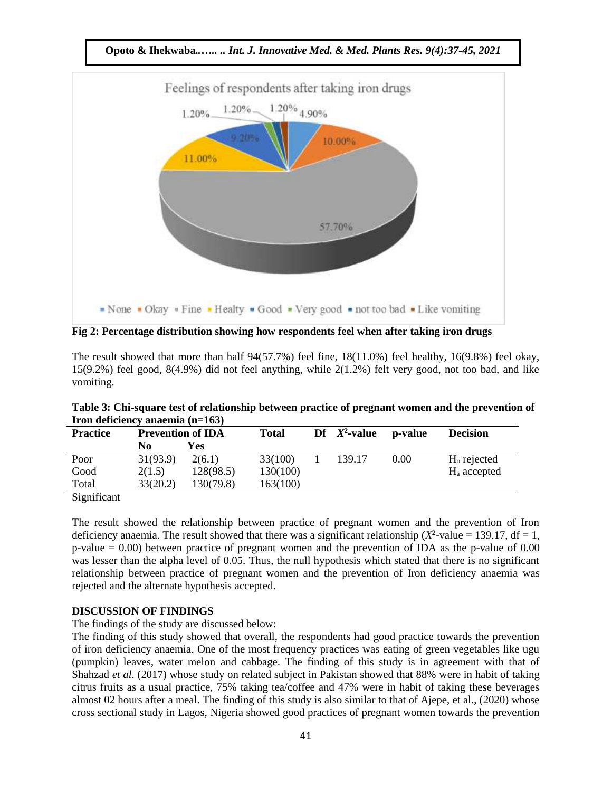

**Fig 2: Percentage distribution showing how respondents feel when after taking iron drugs**

The result showed that more than half  $94(57.7\%)$  feel fine,  $18(11.0\%)$  feel healthy,  $16(9.8\%)$  feel okay, 15(9.2%) feel good, 8(4.9%) did not feel anything, while 2(1.2%) felt very good, not too bad, and like vomiting.

| $11$ on deficiency anaemia $(11 = 103)$ |                          |           |              |  |                 |         |                 |  |  |  |
|-----------------------------------------|--------------------------|-----------|--------------|--|-----------------|---------|-----------------|--|--|--|
| <b>Practice</b>                         | <b>Prevention of IDA</b> |           | <b>Total</b> |  | Df $X^2$ -value | p-value | <b>Decision</b> |  |  |  |
|                                         | No                       | Yes       |              |  |                 |         |                 |  |  |  |
| Poor                                    | 31(93.9)                 | 2(6.1)    | 33(100)      |  | 139.17          | 0.00    | $Ho$ rejected   |  |  |  |
| Good                                    | 2(1.5)                   | 128(98.5) | 130(100)     |  |                 |         | $Ha$ accepted   |  |  |  |
| Total                                   | 33(20.2)                 | 130(79.8) | 163(100)     |  |                 |         |                 |  |  |  |
|                                         |                          |           |              |  |                 |         |                 |  |  |  |

**Table 3: Chi-square test of relationship between practice of pregnant women and the prevention of Iron deficiency anaemia (n=163)**

Significant

The result showed the relationship between practice of pregnant women and the prevention of Iron deficiency anaemia. The result showed that there was a significant relationship ( $X^2$ -value = 139.17, df = 1, p-value  $= 0.00$ ) between practice of pregnant women and the prevention of IDA as the p-value of 0.00 was lesser than the alpha level of 0.05. Thus, the null hypothesis which stated that there is no significant relationship between practice of pregnant women and the prevention of Iron deficiency anaemia was rejected and the alternate hypothesis accepted.

## **DISCUSSION OF FINDINGS**

The findings of the study are discussed below:

The finding of this study showed that overall, the respondents had good practice towards the prevention of iron deficiency anaemia. One of the most frequency practices was eating of green vegetables like ugu (pumpkin) leaves, water melon and cabbage. The finding of this study is in agreement with that of Shahzad *et al*. (2017) whose study on related subject in Pakistan showed that 88% were in habit of taking citrus fruits as a usual practice, 75% taking tea/coffee and 47% were in habit of taking these beverages almost 02 hours after a meal. The finding of this study is also similar to that of Ajepe, et al., (2020) whose cross sectional study in Lagos, Nigeria showed good practices of pregnant women towards the prevention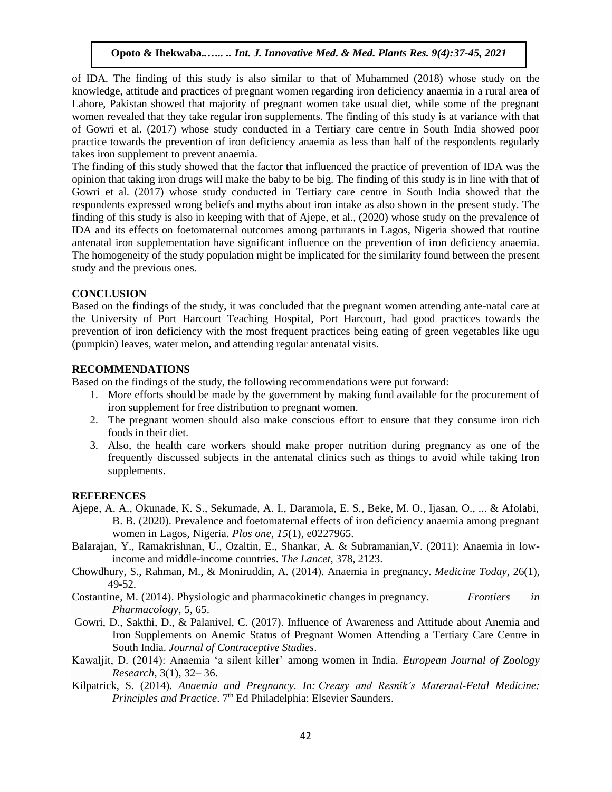of IDA. The finding of this study is also similar to that of Muhammed (2018) whose study on the knowledge, attitude and practices of pregnant women regarding iron deficiency anaemia in a rural area of Lahore, Pakistan showed that majority of pregnant women take usual diet, while some of the pregnant women revealed that they take regular iron supplements. The finding of this study is at variance with that of Gowri et al. (2017) whose study conducted in a Tertiary care centre in South India showed poor practice towards the prevention of iron deficiency anaemia as less than half of the respondents regularly takes iron supplement to prevent anaemia.

The finding of this study showed that the factor that influenced the practice of prevention of IDA was the opinion that taking iron drugs will make the baby to be big. The finding of this study is in line with that of Gowri et al. (2017) whose study conducted in Tertiary care centre in South India showed that the respondents expressed wrong beliefs and myths about iron intake as also shown in the present study. The finding of this study is also in keeping with that of Ajepe, et al., (2020) whose study on the prevalence of IDA and its effects on foetomaternal outcomes among parturants in Lagos, Nigeria showed that routine antenatal iron supplementation have significant influence on the prevention of iron deficiency anaemia. The homogeneity of the study population might be implicated for the similarity found between the present study and the previous ones.

## **CONCLUSION**

Based on the findings of the study, it was concluded that the pregnant women attending ante-natal care at the University of Port Harcourt Teaching Hospital, Port Harcourt, had good practices towards the prevention of iron deficiency with the most frequent practices being eating of green vegetables like ugu (pumpkin) leaves, water melon, and attending regular antenatal visits.

### **RECOMMENDATIONS**

Based on the findings of the study, the following recommendations were put forward:

- 1. More efforts should be made by the government by making fund available for the procurement of iron supplement for free distribution to pregnant women.
- 2. The pregnant women should also make conscious effort to ensure that they consume iron rich foods in their diet.
- 3. Also, the health care workers should make proper nutrition during pregnancy as one of the frequently discussed subjects in the antenatal clinics such as things to avoid while taking Iron supplements.

#### **REFERENCES**

- Ajepe, A. A., Okunade, K. S., Sekumade, A. I., Daramola, E. S., Beke, M. O., Ijasan, O., ... & Afolabi, B. B. (2020). Prevalence and foetomaternal effects of iron deficiency anaemia among pregnant women in Lagos, Nigeria. *Plos one*, *15*(1), e0227965.
- Balarajan, Y., Ramakrishnan, U., Ozaltin, E., Shankar, A. & Subramanian,V. (2011): Anaemia in lowincome and middle-income countries. *The Lancet*, 378, 2123.
- Chowdhury, S., Rahman, M., & Moniruddin, A. (2014). Anaemia in pregnancy. *Medicine Today*, 26(1), 49-52.
- Costantine, M. (2014). Physiologic and pharmacokinetic changes in pregnancy*. Frontiers in Pharmacology,* 5, 65.
- Gowri, D., Sakthi, D., & Palanivel, C. (2017). Influence of Awareness and Attitude about Anemia and Iron Supplements on Anemic Status of Pregnant Women Attending a Tertiary Care Centre in South India. *Journal of Contraceptive Studies*.
- Kawaljit, D. (2014): Anaemia 'a silent killer' among women in India. *European Journal of Zoology Research*, 3(1), 32– 36.
- Kilpatrick, S. (2014). *Anaemia and Pregnancy. In: Creasy and Resnik's Maternal-Fetal Medicine: Principles and Practice*. 7<sup>th</sup> Ed Philadelphia: Elsevier Saunders.